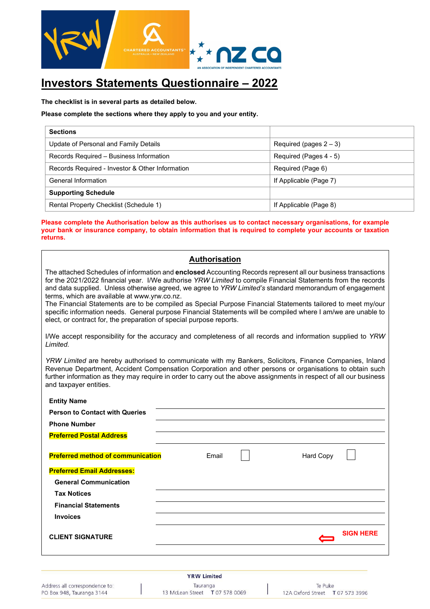

### **Investors Statements Questionnaire – 2022**

**The checklist is in several parts as detailed below.** 

#### **Please complete the sections where they apply to you and your entity.**

| <b>Sections</b>                                 |                           |
|-------------------------------------------------|---------------------------|
| Update of Personal and Family Details           | Required (pages $2 - 3$ ) |
| Records Required - Business Information         | Required (Pages 4 - 5)    |
| Records Required - Investor & Other Information | Required (Page 6)         |
| General Information                             | If Applicable (Page 7)    |
| <b>Supporting Schedule</b>                      |                           |
| Rental Property Checklist (Schedule 1)          | If Applicable (Page 8)    |

#### **Please complete the Authorisation below as this authorises us to contact necessary organisations, for example your bank or insurance company, to obtain information that is required to complete your accounts or taxation returns.**

#### **Authorisation**

The attached Schedules of information and **enclosed** Accounting Records represent all our business transactions for the 2021/2022 financial year. I/We authorise *YRW Limited* to compile Financial Statements from the records and data supplied. Unless otherwise agreed, we agree to *YRW Limited's* standard memorandum of engagement terms, which are available at www.yrw.co.nz. The Financial Statements are to be compiled as Special Purpose Financial Statements tailored to meet my/our

specific information needs. General purpose Financial Statements will be compiled where I am/we are unable to elect, or contract for, the preparation of special purpose reports.

I/We accept responsibility for the accuracy and completeness of all records and information supplied to *YRW Limited.* 

*YRW Limited* are hereby authorised to communicate with my Bankers, Solicitors, Finance Companies, Inland Revenue Department, Accident Compensation Corporation and other persons or organisations to obtain such further information as they may require in order to carry out the above assignments in respect of all our business and taxpayer entities.

| <b>Entity Name</b>                       |       |           |                  |
|------------------------------------------|-------|-----------|------------------|
| <b>Person to Contact with Queries</b>    |       |           |                  |
| <b>Phone Number</b>                      |       |           |                  |
| <b>Preferred Postal Address</b>          |       |           |                  |
| <b>Preferred method of communication</b> | Email | Hard Copy |                  |
| <b>Preferred Email Addresses:</b>        |       |           |                  |
| <b>General Communication</b>             |       |           |                  |
| <b>Tax Notices</b>                       |       |           |                  |
| <b>Financial Statements</b>              |       |           |                  |
| <b>Invoices</b>                          |       |           |                  |
| <b>CLIENT SIGNATURE</b>                  |       |           | <b>SIGN HERE</b> |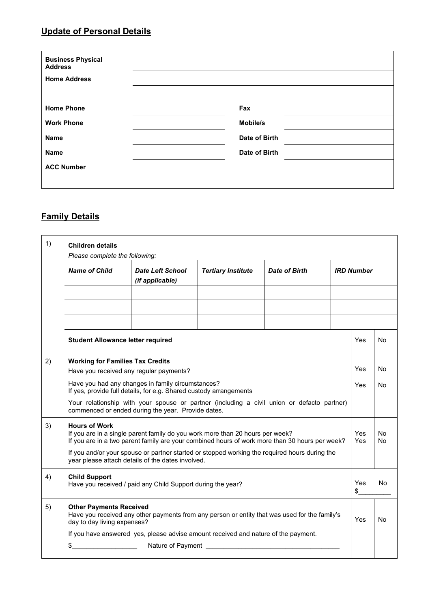#### **Update of Personal Details**

| <b>Business Physical</b><br><b>Address</b> |               |  |
|--------------------------------------------|---------------|--|
| <b>Home Address</b>                        |               |  |
|                                            |               |  |
| <b>Home Phone</b>                          | Fax           |  |
| <b>Work Phone</b>                          | Mobile/s      |  |
| Name                                       | Date of Birth |  |
| Name                                       | Date of Birth |  |
| <b>ACC Number</b>                          |               |  |
|                                            |               |  |

#### **Family Details**

| 1) | <b>Children details</b><br>Please complete the following:                                                                                        |                                                                                                                                                                                 |                                                         |               |     |                   |                |
|----|--------------------------------------------------------------------------------------------------------------------------------------------------|---------------------------------------------------------------------------------------------------------------------------------------------------------------------------------|---------------------------------------------------------|---------------|-----|-------------------|----------------|
|    | <b>Name of Child</b>                                                                                                                             | <b>Date Left School</b><br>(if applicable)                                                                                                                                      | <b>Tertiary Institute</b>                               | Date of Birth |     | <b>IRD Number</b> |                |
|    |                                                                                                                                                  |                                                                                                                                                                                 |                                                         |               |     |                   |                |
|    |                                                                                                                                                  |                                                                                                                                                                                 |                                                         |               |     |                   |                |
|    |                                                                                                                                                  |                                                                                                                                                                                 |                                                         |               |     |                   |                |
|    | <b>Student Allowance letter required</b>                                                                                                         |                                                                                                                                                                                 |                                                         |               |     | Yes               | No             |
| 2) | <b>Working for Families Tax Credits</b><br>Have you received any regular payments?                                                               |                                                                                                                                                                                 |                                                         |               |     | Yes               | No             |
|    | Have you had any changes in family circumstances?<br>If yes, provide full details, for e.g. Shared custody arrangements                          |                                                                                                                                                                                 |                                                         |               | Yes | No                |                |
|    | Your relationship with your spouse or partner (including a civil union or defacto partner)<br>commenced or ended during the year. Provide dates. |                                                                                                                                                                                 |                                                         |               |     |                   |                |
| 3) | <b>Hours of Work</b>                                                                                                                             | If you are in a single parent family do you work more than 20 hours per week?<br>If you are in a two parent family are your combined hours of work more than 30 hours per week? |                                                         |               |     | Yes<br>Yes        | No<br>No       |
|    |                                                                                                                                                  | If you and/or your spouse or partner started or stopped working the required hours during the<br>year please attach details of the dates involved.                              |                                                         |               |     |                   |                |
| 4) | <b>Child Support</b>                                                                                                                             | Have you received / paid any Child Support during the year?                                                                                                                     |                                                         |               |     | Yes<br>\$         | No.            |
| 5) | <b>Other Payments Received</b><br>day to day living expenses?                                                                                    | Have you received any other payments from any person or entity that was used for the family's                                                                                   |                                                         |               |     | Yes               | N <sub>0</sub> |
|    |                                                                                                                                                  | If you have answered yes, please advise amount received and nature of the payment.                                                                                              |                                                         |               |     |                   |                |
|    | \$                                                                                                                                               |                                                                                                                                                                                 | Nature of Payment <u>example and the set of Payment</u> |               |     |                   |                |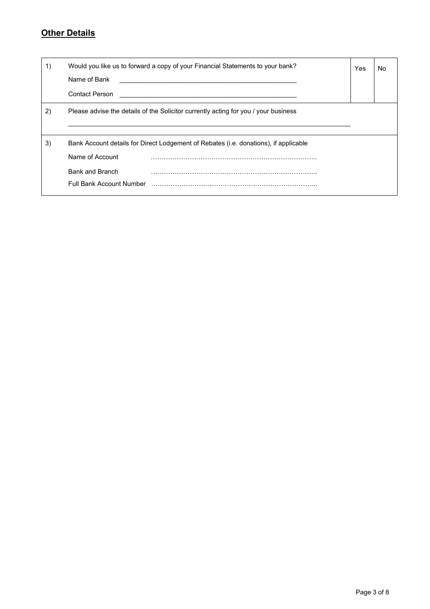# **Other Details**

| 1) | Would you like us to forward a copy of your Financial Statements to your bank?<br>Name of Bank<br>Contact Person                                       | Yes | No |
|----|--------------------------------------------------------------------------------------------------------------------------------------------------------|-----|----|
| 2) | Please advise the details of the Solicitor currently acting for you / your business                                                                    |     |    |
| 3) | Bank Account details for Direct Lodgement of Rebates (i.e. donations), if applicable<br>Name of Account<br>Bank and Branch<br>Full Bank Account Number |     |    |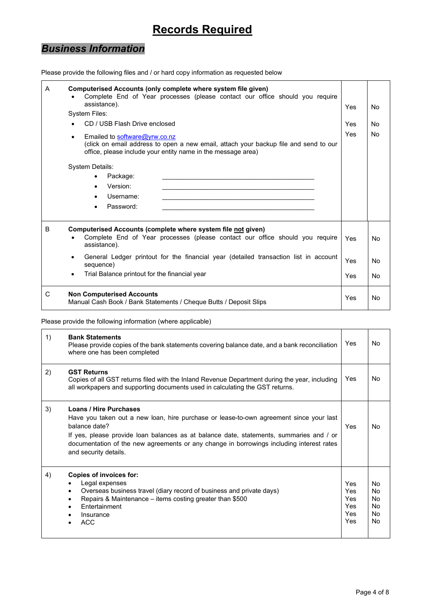## **Records Required**

## *Business Information*

| A | Computerised Accounts (only complete where system file given)<br>Complete End of Year processes (please contact our office should you require<br>assistance).<br><b>System Files:</b><br>CD / USB Flash Drive enclosed<br>Emailed to software@yrw.co.nz<br>$\bullet$<br>(click on email address to open a new email, attach your backup file and send to our<br>office, please include your entity name in the message area)<br>System Details:<br>Package:<br>Version:<br>Username:<br>Password: | Yes<br>Yes<br>Yes | No.<br>N <sub>o</sub><br><b>No</b> |
|---|---------------------------------------------------------------------------------------------------------------------------------------------------------------------------------------------------------------------------------------------------------------------------------------------------------------------------------------------------------------------------------------------------------------------------------------------------------------------------------------------------|-------------------|------------------------------------|
| B | Computerised Accounts (complete where system file not given)<br>Complete End of Year processes (please contact our office should you require<br>assistance).                                                                                                                                                                                                                                                                                                                                      | Yes               | N <sub>0</sub>                     |
|   | General Ledger printout for the financial year (detailed transaction list in account<br>$\bullet$<br>sequence)                                                                                                                                                                                                                                                                                                                                                                                    | Yes               | N <sub>0</sub>                     |
|   | Trial Balance printout for the financial year                                                                                                                                                                                                                                                                                                                                                                                                                                                     | Yes               | N <sub>0</sub>                     |
| C | <b>Non Computerised Accounts</b><br>Manual Cash Book / Bank Statements / Cheque Butts / Deposit Slips                                                                                                                                                                                                                                                                                                                                                                                             | Yes               | No                                 |

#### Please provide the following files and / or hard copy information as requested below

Please provide the following information (where applicable)

| 1) | <b>Bank Statements</b><br>Please provide copies of the bank statements covering balance date, and a bank reconciliation<br>where one has been completed                                                                                                                                                                                                  | Yes                                           | No.                                           |
|----|----------------------------------------------------------------------------------------------------------------------------------------------------------------------------------------------------------------------------------------------------------------------------------------------------------------------------------------------------------|-----------------------------------------------|-----------------------------------------------|
| 2) | <b>GST Returns</b><br>Copies of all GST returns filed with the Inland Revenue Department during the year, including<br>all workpapers and supporting documents used in calculating the GST returns.                                                                                                                                                      | Yes                                           | No.                                           |
| 3) | <b>Loans / Hire Purchases</b><br>Have you taken out a new loan, hire purchase or lease-to-own agreement since your last<br>balance date?<br>If yes, please provide loan balances as at balance date, statements, summaries and / or<br>documentation of the new agreements or any change in borrowings including interest rates<br>and security details. | Yes                                           | No.                                           |
| 4) | <b>Copies of invoices for:</b><br>Legal expenses<br>Overseas business travel (diary record of business and private days)<br>٠<br>Repairs & Maintenance - items costing greater than \$500<br>٠<br><b>Entertainment</b><br>Insurance<br>ACC                                                                                                               | Yes<br>Yes<br>Yes<br><b>Yes</b><br>Yes<br>Yes | No<br>N <sub>0</sub><br>No<br>No<br>No<br>No. |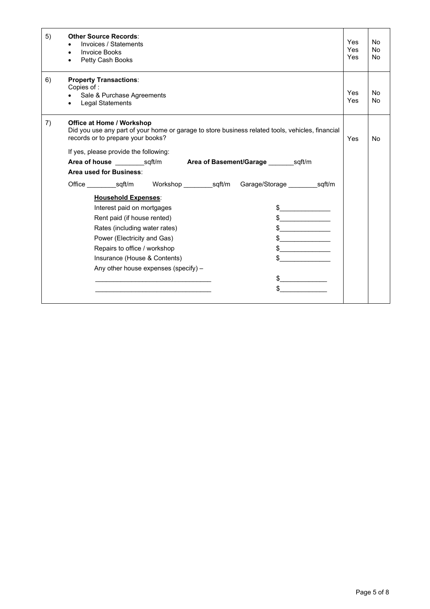| 5) | <b>Other Source Records:</b><br>Invoices / Statements<br><b>Invoice Books</b><br>Petty Cash Books                                                                         | Yes<br>Yes<br>Yes | N <sub>o</sub><br><b>No</b><br><b>No</b> |
|----|---------------------------------------------------------------------------------------------------------------------------------------------------------------------------|-------------------|------------------------------------------|
| 6) | <b>Property Transactions:</b><br>Copies of:                                                                                                                               |                   |                                          |
|    | Sale & Purchase Agreements<br><b>Legal Statements</b>                                                                                                                     | Yes<br>Yes        | <b>No</b><br><b>No</b>                   |
| 7) | <b>Office at Home / Workshop</b><br>Did you use any part of your home or garage to store business related tools, vehicles, financial<br>records or to prepare your books? | <b>Yes</b>        | <b>No</b>                                |
|    | If yes, please provide the following:                                                                                                                                     |                   |                                          |
|    |                                                                                                                                                                           |                   |                                          |
|    | Area used for Business:                                                                                                                                                   |                   |                                          |
|    |                                                                                                                                                                           |                   |                                          |
|    | <b>Household Expenses:</b>                                                                                                                                                |                   |                                          |
|    | Interest paid on mortgages                                                                                                                                                |                   |                                          |
|    | $\frac{1}{2}$<br>Rent paid (if house rented)                                                                                                                              |                   |                                          |
|    | Rates (including water rates)<br>$\frac{1}{2}$                                                                                                                            |                   |                                          |
|    | Power (Electricity and Gas)                                                                                                                                               |                   |                                          |
|    | Repairs to office / workshop<br>$\sim$ 5                                                                                                                                  |                   |                                          |
|    | Insurance (House & Contents)                                                                                                                                              |                   |                                          |
|    | Any other house expenses (specify) -                                                                                                                                      |                   |                                          |
|    |                                                                                                                                                                           |                   |                                          |
|    |                                                                                                                                                                           |                   |                                          |
|    |                                                                                                                                                                           |                   |                                          |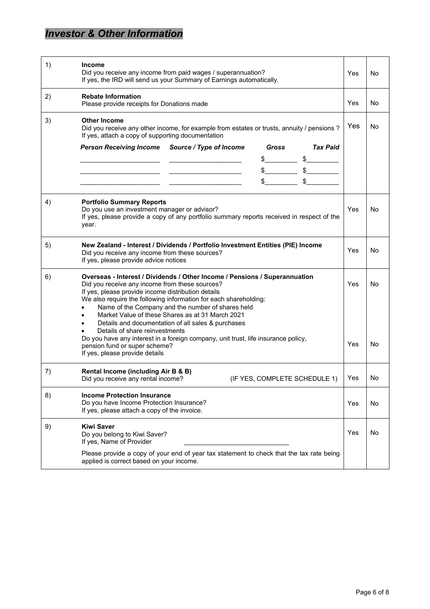## *Investor & Other Information*

| 1) | <b>Income</b><br>Did you receive any income from paid wages / superannuation?<br>If yes, the IRD will send us your Summary of Earnings automatically.                                                                                                                                                                                                                                                                                                                                                                                                                                      | Yes        | No.       |
|----|--------------------------------------------------------------------------------------------------------------------------------------------------------------------------------------------------------------------------------------------------------------------------------------------------------------------------------------------------------------------------------------------------------------------------------------------------------------------------------------------------------------------------------------------------------------------------------------------|------------|-----------|
| 2) | <b>Rebate Information</b><br>Please provide receipts for Donations made                                                                                                                                                                                                                                                                                                                                                                                                                                                                                                                    | Yes        | No        |
| 3) | <b>Other Income</b><br>Did you receive any other income, for example from estates or trusts, annuity / pensions ?<br>If yes, attach a copy of supporting documentation                                                                                                                                                                                                                                                                                                                                                                                                                     | Yes        | No        |
|    | <b>Tax Paid</b><br>Source / Type of Income<br>Gross<br><b>Person Receiving Income</b><br>$\frac{1}{2}$<br>$\frac{1}{2}$<br>$\frac{1}{2}$ $\frac{1}{2}$ $\frac{1}{2}$ $\frac{1}{2}$ $\frac{1}{2}$ $\frac{1}{2}$ $\frac{1}{2}$ $\frac{1}{2}$ $\frac{1}{2}$ $\frac{1}{2}$ $\frac{1}{2}$ $\frac{1}{2}$ $\frac{1}{2}$ $\frac{1}{2}$ $\frac{1}{2}$ $\frac{1}{2}$ $\frac{1}{2}$ $\frac{1}{2}$ $\frac{1}{2}$ $\frac{1}{2}$ $\frac{1}{2}$ $\frac{1}{2}$<br>$\frac{1}{2}$ \$                                                                                                                         |            |           |
| 4) | <b>Portfolio Summary Reports</b><br>Do you use an investment manager or advisor?<br>If yes, please provide a copy of any portfolio summary reports received in respect of the<br>year.                                                                                                                                                                                                                                                                                                                                                                                                     | Yes        | No        |
| 5) | New Zealand - Interest / Dividends / Portfolio Investment Entities (PIE) Income<br>Did you receive any income from these sources?<br>If yes, please provide advice notices                                                                                                                                                                                                                                                                                                                                                                                                                 | Yes        | No        |
| 6) | Overseas - Interest / Dividends / Other Income / Pensions / Superannuation<br>Did you receive any income from these sources?<br>If yes, please provide income distribution details<br>We also require the following information for each shareholding:<br>Name of the Company and the number of shares held<br>Market Value of these Shares as at 31 March 2021<br>Details and documentation of all sales & purchases<br>$\bullet$<br>Details of share reinvestments<br>Do you have any interest in a foreign company, unit trust, life insurance policy,<br>pension fund or super scheme? | Yes<br>Yes | No.<br>No |
|    | If yes, please provide details                                                                                                                                                                                                                                                                                                                                                                                                                                                                                                                                                             |            |           |
| 7) | Rental Income (including Air B & B)<br>(IF YES, COMPLETE SCHEDULE 1)<br>Did you receive any rental income?                                                                                                                                                                                                                                                                                                                                                                                                                                                                                 | Yes        | No        |
| 8) | <b>Income Protection Insurance</b><br>Do you have Income Protection Insurance?<br>If yes, please attach a copy of the invoice.                                                                                                                                                                                                                                                                                                                                                                                                                                                             | Yes        | No        |
| 9) | <b>Kiwi Saver</b><br>Do you belong to Kiwi Saver?<br>If yes, Name of Provider<br>Please provide a copy of your end of year tax statement to check that the tax rate being<br>applied is correct based on your income.                                                                                                                                                                                                                                                                                                                                                                      | Yes        | No        |
|    |                                                                                                                                                                                                                                                                                                                                                                                                                                                                                                                                                                                            |            |           |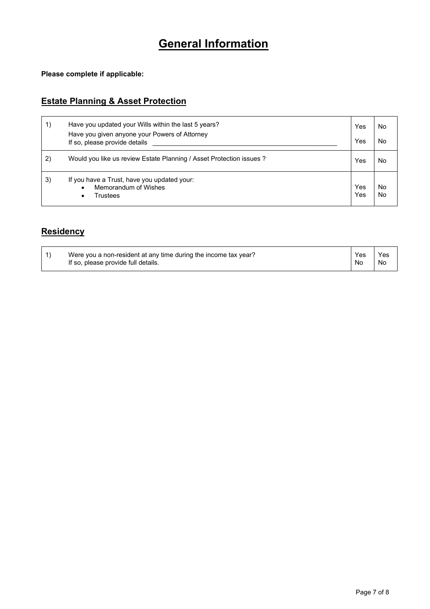## **General Information**

**Please complete if applicable:** 

#### **Estate Planning & Asset Protection**

| 1) | Have you updated your Wills within the last 5 years?<br>Have you given anyone your Powers of Attorney<br>If so, please provide details | Yes<br>Yes | No<br>No |
|----|----------------------------------------------------------------------------------------------------------------------------------------|------------|----------|
| 2) | Would you like us review Estate Planning / Asset Protection issues ?                                                                   | Yes        | No       |
| 3) | If you have a Trust, have you updated your:<br>Memorandum of Wishes<br>Trustees<br>٠                                                   | Yes<br>Yes | No<br>No |

#### **Residency**

| Were you a non-resident at any time during the income tax year? | Yes | Yes |
|-----------------------------------------------------------------|-----|-----|
| If so, please provide full details.                             | No  | No  |